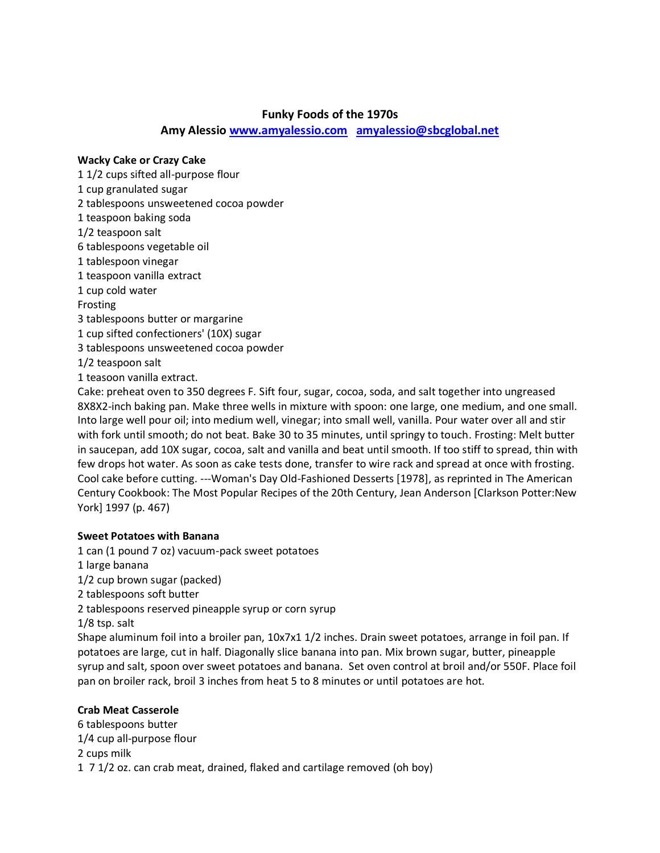### **Funky Foods of the 1970s**

**Amy Alessi[o www.amyalessio.com](http://www.amyalessio.com/) [amyalessio@sbcglobal.net](mailto:amyalessio@sbcglobal.net)**

#### **Wacky Cake or Crazy Cake**

1 1/2 cups sifted all-purpose flour

1 cup granulated sugar

2 tablespoons unsweetened cocoa powder

1 teaspoon baking soda

- 1/2 teaspoon salt
- 6 tablespoons vegetable oil
- 1 tablespoon vinegar
- 1 teaspoon vanilla extract
- 1 cup cold water

Frosting

3 tablespoons butter or margarine

1 cup sifted confectioners' (10X) sugar

3 tablespoons unsweetened cocoa powder

1/2 teaspoon salt

1 teasoon vanilla extract.

Cake: preheat oven to 350 degrees F. Sift four, sugar, cocoa, soda, and salt together into ungreased 8X8X2-inch baking pan. Make three wells in mixture with spoon: one large, one medium, and one small. Into large well pour oil; into medium well, vinegar; into small well, vanilla. Pour water over all and stir with fork until smooth; do not beat. Bake 30 to 35 minutes, until springy to touch. Frosting: Melt butter in saucepan, add 10X sugar, cocoa, salt and vanilla and beat until smooth. If too stiff to spread, thin with few drops hot water. As soon as cake tests done, transfer to wire rack and spread at once with frosting. Cool cake before cutting. ---Woman's Day Old-Fashioned Desserts [1978], as reprinted in The American Century Cookbook: The Most Popular Recipes of the 20th Century, Jean Anderson [Clarkson Potter:New York] 1997 (p. 467)

### **Sweet Potatoes with Banana**

- 1 can (1 pound 7 oz) vacuum-pack sweet potatoes
- 1 large banana

1/2 cup brown sugar (packed)

- 2 tablespoons soft butter
- 2 tablespoons reserved pineapple syrup or corn syrup

1/8 tsp. salt

Shape aluminum foil into a broiler pan, 10x7x1 1/2 inches. Drain sweet potatoes, arrange in foil pan. If potatoes are large, cut in half. Diagonally slice banana into pan. Mix brown sugar, butter, pineapple syrup and salt, spoon over sweet potatoes and banana. Set oven control at broil and/or 550F. Place foil pan on broiler rack, broil 3 inches from heat 5 to 8 minutes or until potatoes are hot.

## **Crab Meat Casserole**

6 tablespoons butter 1/4 cup all-purpose flour 2 cups milk 1 7 1/2 oz. can crab meat, drained, flaked and cartilage removed (oh boy)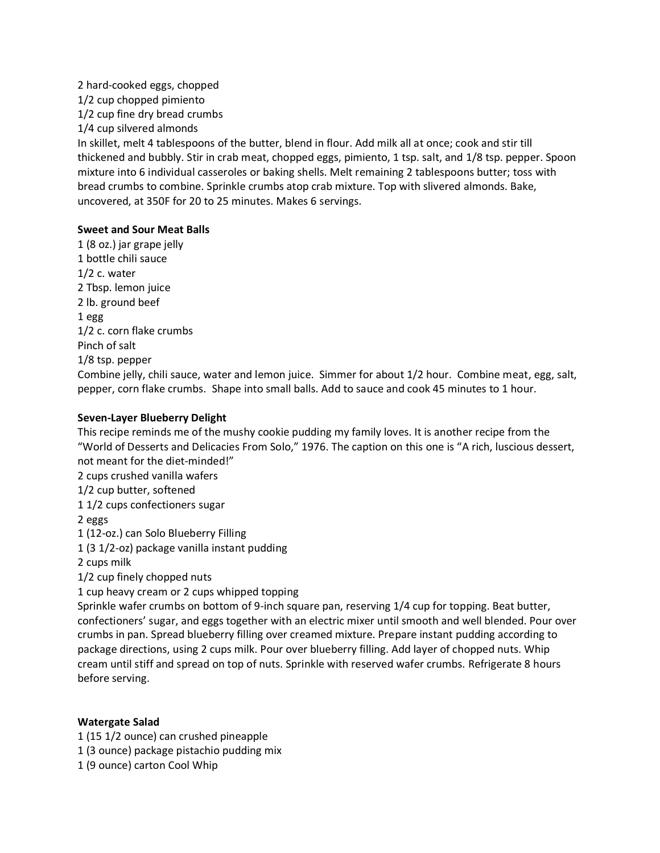2 hard-cooked eggs, chopped 1/2 cup chopped pimiento 1/2 cup fine dry bread crumbs 1/4 cup silvered almonds

In skillet, melt 4 tablespoons of the butter, blend in flour. Add milk all at once; cook and stir till thickened and bubbly. Stir in crab meat, chopped eggs, pimiento, 1 tsp. salt, and 1/8 tsp. pepper. Spoon mixture into 6 individual casseroles or baking shells. Melt remaining 2 tablespoons butter; toss with bread crumbs to combine. Sprinkle crumbs atop crab mixture. Top with slivered almonds. Bake, uncovered, at 350F for 20 to 25 minutes. Makes 6 servings.

#### **Sweet and Sour Meat Balls**

1 (8 oz.) jar grape jelly 1 bottle chili sauce  $1/2$  c. water 2 Tbsp. lemon juice 2 lb. ground beef 1 egg 1/2 c. corn flake crumbs Pinch of salt 1/8 tsp. pepper Combine jelly, chili sauce, water and lemon juice. Simmer for about 1/2 hour. Combine meat, egg, salt, pepper, corn flake crumbs. Shape into small balls. Add to sauce and cook 45 minutes to 1 hour.

### **Seven-Layer Blueberry Delight**

This recipe reminds me of the mushy cookie pudding my family loves. It is another recipe from the "World of Desserts and Delicacies From Solo," 1976. The caption on this one is "A rich, luscious dessert, not meant for the diet-minded!"

- 2 cups crushed vanilla wafers
- 1/2 cup butter, softened
- 1 1/2 cups confectioners sugar
- 2 eggs
- 1 (12-oz.) can Solo Blueberry Filling
- 1 (3 1/2-oz) package vanilla instant pudding
- 2 cups milk

1/2 cup finely chopped nuts

1 cup heavy cream or 2 cups whipped topping

Sprinkle wafer crumbs on bottom of 9-inch square pan, reserving 1/4 cup for topping. Beat butter, confectioners' sugar, and eggs together with an electric mixer until smooth and well blended. Pour over crumbs in pan. Spread blueberry filling over creamed mixture. Prepare instant pudding according to package directions, using 2 cups milk. Pour over blueberry filling. Add layer of chopped nuts. Whip cream until stiff and spread on top of nuts. Sprinkle with reserved wafer crumbs. Refrigerate 8 hours before serving.

### **Watergate Salad**

- 1 (15 1/2 ounce) can crushed pineapple
- 1 (3 ounce) package pistachio pudding mix
- 1 (9 ounce) carton Cool Whip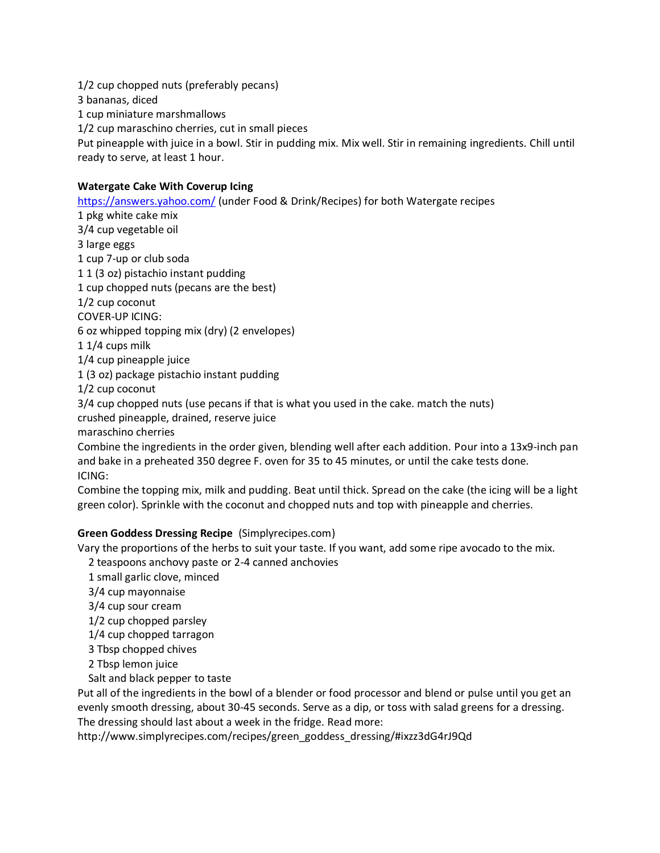1/2 cup chopped nuts (preferably pecans)

3 bananas, diced

1 cup miniature marshmallows

1/2 cup maraschino cherries, cut in small pieces

Put pineapple with juice in a bowl. Stir in pudding mix. Mix well. Stir in remaining ingredients. Chill until ready to serve, at least 1 hour.

# **Watergate Cake With Coverup Icing**

<https://answers.yahoo.com/> (under Food & Drink/Recipes) for both Watergate recipes

1 pkg white cake mix 3/4 cup vegetable oil 3 large eggs 1 cup 7-up or club soda 1 1 (3 oz) pistachio instant pudding 1 cup chopped nuts (pecans are the best) 1/2 cup coconut COVER-UP ICING: 6 oz whipped topping mix (dry) (2 envelopes) 1 1/4 cups milk 1/4 cup pineapple juice 1 (3 oz) package pistachio instant pudding 1/2 cup coconut 3/4 cup chopped nuts (use pecans if that is what you used in the cake. match the nuts) crushed pineapple, drained, reserve juice maraschino cherries Combine the ingredients in the order given, blending well after each addition. Pour into a 13x9-inch pan and bake in a preheated 350 degree F. oven for 35 to 45 minutes, or until the cake tests done. ICING:

Combine the topping mix, milk and pudding. Beat until thick. Spread on the cake (the icing will be a light green color). Sprinkle with the coconut and chopped nuts and top with pineapple and cherries.

## **Green Goddess Dressing Recipe** (Simplyrecipes.com)

Vary the proportions of the herbs to suit your taste. If you want, add some ripe avocado to the mix.

2 teaspoons anchovy paste or 2-4 canned anchovies

1 small garlic clove, minced

3/4 cup mayonnaise

3/4 cup sour cream

1/2 cup chopped parsley

1/4 cup chopped tarragon

3 Tbsp chopped chives

2 Tbsp lemon juice

Salt and black pepper to taste

Put all of the ingredients in the bowl of a blender or food processor and blend or pulse until you get an evenly smooth dressing, about 30-45 seconds. Serve as a dip, or toss with salad greens for a dressing. The dressing should last about a week in the fridge. Read more:

http://www.simplyrecipes.com/recipes/green\_goddess\_dressing/#ixzz3dG4rJ9Qd